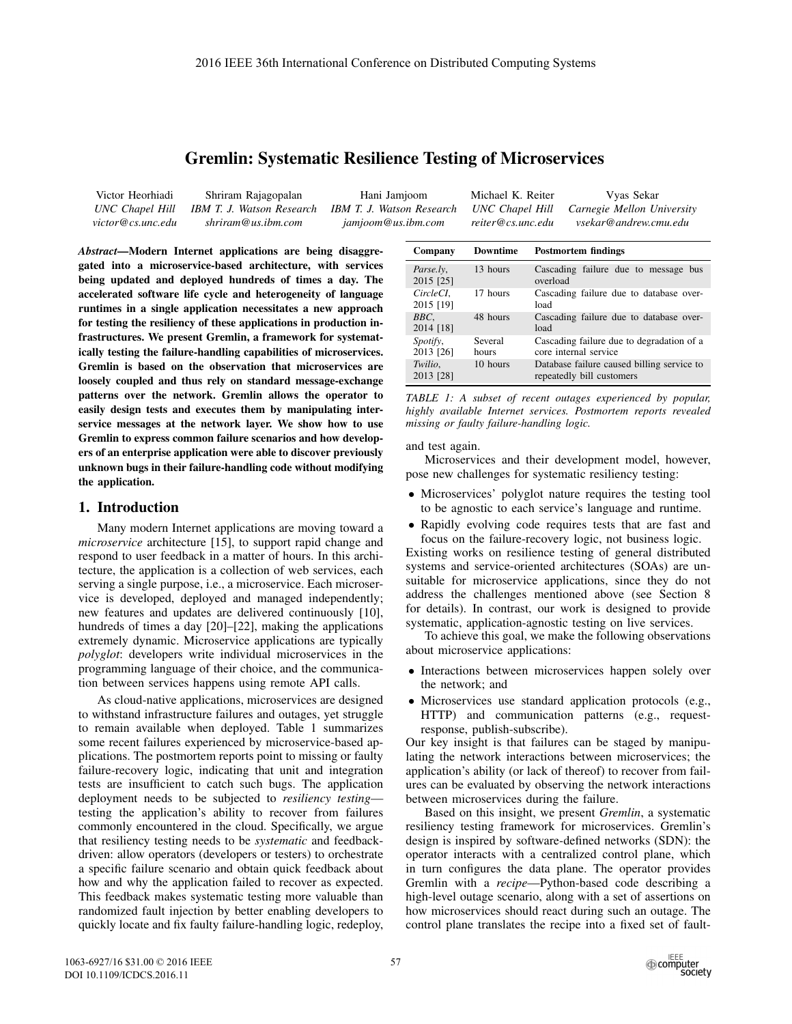# Gremlin: Systematic Resilience Testing of Microservices

| Victor Heorhiadi  | Shriram Rajagopalan       | Hani Jamjoom              | Michael K. Reiter | Vyas Sekar                                 |
|-------------------|---------------------------|---------------------------|-------------------|--------------------------------------------|
| UNC Chapel Hill   | IBM T. J. Watson Research | IBM T. J. Watson Research |                   | UNC Chapel Hill Carnegie Mellon University |
| victor@cs.unc.edu | shriram@us.ibm.com        | jamjoom@us.ibm.com        | reiter@cs.unc.edu | vsekar@andrew.cmu.edu                      |

*Abstract*—Modern Internet applications are being disaggregated into a microservice-based architecture, with services being updated and deployed hundreds of times a day. The accelerated software life cycle and heterogeneity of language runtimes in a single application necessitates a new approach for testing the resiliency of these applications in production infrastructures. We present Gremlin, a framework for systematically testing the failure-handling capabilities of microservices. Gremlin is based on the observation that microservices are loosely coupled and thus rely on standard message-exchange patterns over the network. Gremlin allows the operator to easily design tests and executes them by manipulating interservice messages at the network layer. We show how to use Gremlin to express common failure scenarios and how developers of an enterprise application were able to discover previously unknown bugs in their failure-handling code without modifying the application.

### 1. Introduction

Many modern Internet applications are moving toward a *microservice* architecture [15], to support rapid change and respond to user feedback in a matter of hours. In this architecture, the application is a collection of web services, each serving a single purpose, i.e., a microservice. Each microservice is developed, deployed and managed independently; new features and updates are delivered continuously [10], hundreds of times a day [20]–[22], making the applications extremely dynamic. Microservice applications are typically *polyglot*: developers write individual microservices in the programming language of their choice, and the communication between services happens using remote API calls.

As cloud-native applications, microservices are designed to withstand infrastructure failures and outages, yet struggle to remain available when deployed. Table 1 summarizes some recent failures experienced by microservice-based applications. The postmortem reports point to missing or faulty failure-recovery logic, indicating that unit and integration tests are insufficient to catch such bugs. The application deployment needs to be subjected to *resiliency testing* testing the application's ability to recover from failures commonly encountered in the cloud. Specifically, we argue that resiliency testing needs to be *systematic* and feedbackdriven: allow operators (developers or testers) to orchestrate a specific failure scenario and obtain quick feedback about how and why the application failed to recover as expected. This feedback makes systematic testing more valuable than randomized fault injection by better enabling developers to quickly locate and fix faulty failure-handling logic, redeploy,

| Company                | Downtime         | <b>Postmortem findings</b>                                              |
|------------------------|------------------|-------------------------------------------------------------------------|
| Parse.ly.<br>2015 [25] | 13 hours         | Cascading failure due to message bus<br>overload                        |
| CircleCI.<br>2015 [19] | 17 hours         | Cascading failure due to database over-<br>load                         |
| BBC.<br>2014 [18]      | 48 hours         | Cascading failure due to database over-<br>load                         |
| Spotify,<br>2013 [26]  | Several<br>hours | Cascading failure due to degradation of a<br>core internal service      |
| Twilio,<br>2013 [28]   | 10 hours         | Database failure caused billing service to<br>repeatedly bill customers |

*TABLE 1: A subset of recent outages experienced by popular, highly available Internet services. Postmortem reports revealed missing or faulty failure-handling logic.*

#### and test again.

Microservices and their development model, however, pose new challenges for systematic resiliency testing:

- Microservices' polyglot nature requires the testing tool to be agnostic to each service's language and runtime.
- Rapidly evolving code requires tests that are fast and focus on the failure-recovery logic, not business logic.

Existing works on resilience testing of general distributed systems and service-oriented architectures (SOAs) are unsuitable for microservice applications, since they do not address the challenges mentioned above (see Section 8 for details). In contrast, our work is designed to provide systematic, application-agnostic testing on live services.

To achieve this goal, we make the following observations about microservice applications:

- Interactions between microservices happen solely over the network; and
- Microservices use standard application protocols (e.g., HTTP) and communication patterns (e.g., requestresponse, publish-subscribe).

Our key insight is that failures can be staged by manipulating the network interactions between microservices; the application's ability (or lack of thereof) to recover from failures can be evaluated by observing the network interactions between microservices during the failure.

Based on this insight, we present *Gremlin*, a systematic resiliency testing framework for microservices. Gremlin's design is inspired by software-defined networks (SDN): the operator interacts with a centralized control plane, which in turn configures the data plane. The operator provides Gremlin with a *recipe*—Python-based code describing a high-level outage scenario, along with a set of assertions on how microservices should react during such an outage. The control plane translates the recipe into a fixed set of fault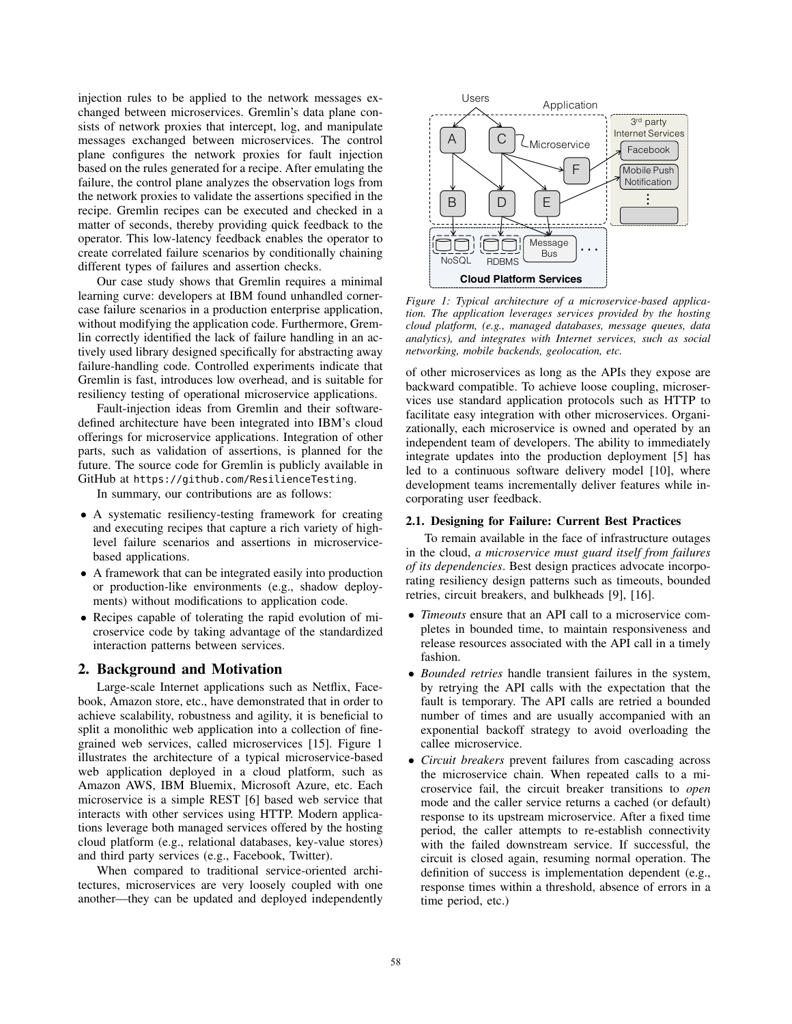injection rules to be applied to the network messages exchanged between microservices. Gremlin's data plane consists of network proxies that intercept, log, and manipulate messages exchanged between microservices. The control plane configures the network proxies for fault injection based on the rules generated for a recipe. After emulating the failure, the control plane analyzes the observation logs from the network proxies to validate the assertions specified in the recipe. Gremlin recipes can be executed and checked in a matter of seconds, thereby providing quick feedback to the operator. This low-latency feedback enables the operator to create correlated failure scenarios by conditionally chaining different types of failures and assertion checks.

Our case study shows that Gremlin requires a minimal learning curve: developers at IBM found unhandled cornercase failure scenarios in a production enterprise application, without modifying the application code. Furthermore, Gremlin correctly identified the lack of failure handling in an actively used library designed specifically for abstracting away failure-handling code. Controlled experiments indicate that Gremlin is fast, introduces low overhead, and is suitable for resiliency testing of operational microservice applications.

Fault-injection ideas from Gremlin and their softwaredefined architecture have been integrated into IBM's cloud offerings for microservice applications. Integration of other parts, such as validation of assertions, is planned for the future. The source code for Gremlin is publicly available in GitHub at https://github.com/ResilienceTesting.

In summary, our contributions are as follows:

- A systematic resiliency-testing framework for creating and executing recipes that capture a rich variety of highlevel failure scenarios and assertions in microservicebased applications.
- A framework that can be integrated easily into production or production-like environments (e.g., shadow deployments) without modifications to application code.
- Recipes capable of tolerating the rapid evolution of microservice code by taking advantage of the standardized interaction patterns between services.

## 2. Background and Motivation

Large-scale Internet applications such as Netflix, Facebook, Amazon store, etc., have demonstrated that in order to achieve scalability, robustness and agility, it is beneficial to split a monolithic web application into a collection of finegrained web services, called microservices [15]. Figure 1 illustrates the architecture of a typical microservice-based web application deployed in a cloud platform, such as Amazon AWS, IBM Bluemix, Microsoft Azure, etc. Each microservice is a simple REST [6] based web service that interacts with other services using HTTP. Modern applications leverage both managed services offered by the hosting cloud platform (e.g., relational databases, key-value stores) and third party services (e.g., Facebook, Twitter).

When compared to traditional service-oriented architectures, microservices are very loosely coupled with one another—they can be updated and deployed independently



*Figure 1: Typical architecture of a microservice-based application. The application leverages services provided by the hosting cloud platform, (e.g., managed databases, message queues, data analytics), and integrates with Internet services, such as social networking, mobile backends, geolocation, etc.*

of other microservices as long as the APIs they expose are backward compatible. To achieve loose coupling, microservices use standard application protocols such as HTTP to facilitate easy integration with other microservices. Organizationally, each microservice is owned and operated by an independent team of developers. The ability to immediately integrate updates into the production deployment [5] has led to a continuous software delivery model [10], where development teams incrementally deliver features while incorporating user feedback.

### 2.1. Designing for Failure: Current Best Practices

To remain available in the face of infrastructure outages in the cloud, *a microservice must guard itself from failures of its dependencies*. Best design practices advocate incorporating resiliency design patterns such as timeouts, bounded retries, circuit breakers, and bulkheads [9], [16].

- *Timeouts* ensure that an API call to a microservice completes in bounded time, to maintain responsiveness and release resources associated with the API call in a timely fashion.
- *Bounded retries* handle transient failures in the system, by retrying the API calls with the expectation that the fault is temporary. The API calls are retried a bounded number of times and are usually accompanied with an exponential backoff strategy to avoid overloading the callee microservice.
- *Circuit breakers* prevent failures from cascading across the microservice chain. When repeated calls to a microservice fail, the circuit breaker transitions to *open* mode and the caller service returns a cached (or default) response to its upstream microservice. After a fixed time period, the caller attempts to re-establish connectivity with the failed downstream service. If successful, the circuit is closed again, resuming normal operation. The definition of success is implementation dependent (e.g., response times within a threshold, absence of errors in a time period, etc.)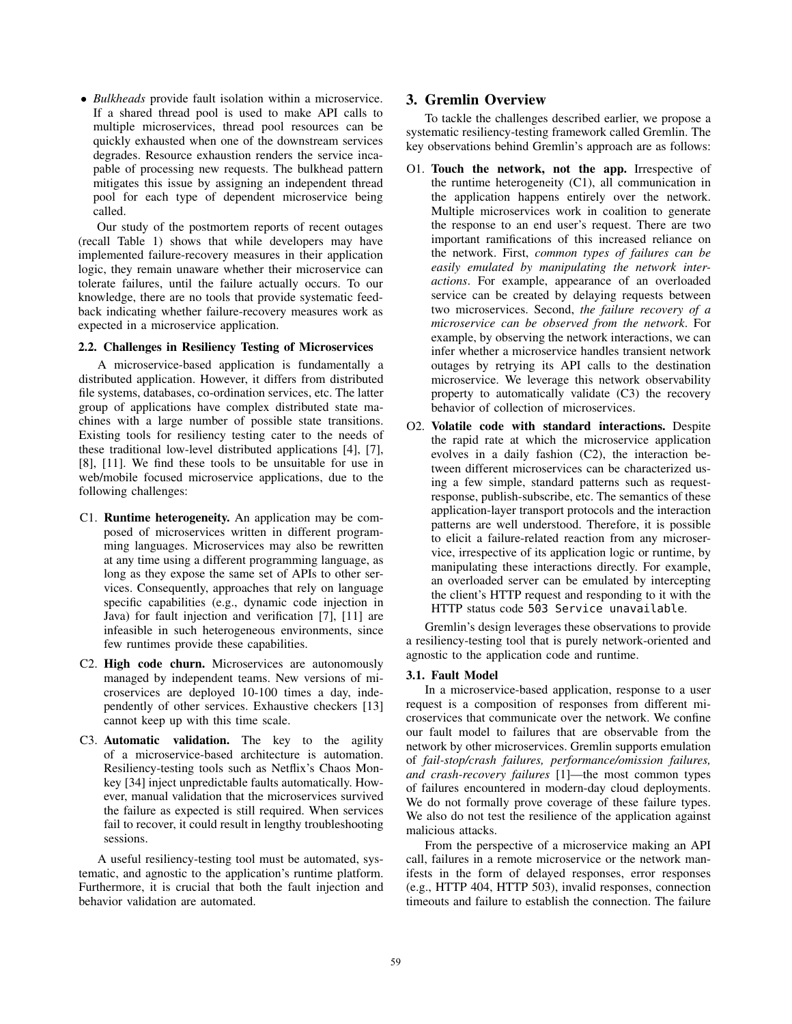• *Bulkheads* provide fault isolation within a microservice. If a shared thread pool is used to make API calls to multiple microservices, thread pool resources can be quickly exhausted when one of the downstream services degrades. Resource exhaustion renders the service incapable of processing new requests. The bulkhead pattern mitigates this issue by assigning an independent thread pool for each type of dependent microservice being called.

Our study of the postmortem reports of recent outages (recall Table 1) shows that while developers may have implemented failure-recovery measures in their application logic, they remain unaware whether their microservice can tolerate failures, until the failure actually occurs. To our knowledge, there are no tools that provide systematic feedback indicating whether failure-recovery measures work as expected in a microservice application.

### 2.2. Challenges in Resiliency Testing of Microservices

A microservice-based application is fundamentally a distributed application. However, it differs from distributed file systems, databases, co-ordination services, etc. The latter group of applications have complex distributed state machines with a large number of possible state transitions. Existing tools for resiliency testing cater to the needs of these traditional low-level distributed applications [4], [7], [8], [11]. We find these tools to be unsuitable for use in web/mobile focused microservice applications, due to the following challenges:

- C1. Runtime heterogeneity. An application may be composed of microservices written in different programming languages. Microservices may also be rewritten at any time using a different programming language, as long as they expose the same set of APIs to other services. Consequently, approaches that rely on language specific capabilities (e.g., dynamic code injection in Java) for fault injection and verification [7], [11] are infeasible in such heterogeneous environments, since few runtimes provide these capabilities.
- C2. High code churn. Microservices are autonomously managed by independent teams. New versions of microservices are deployed 10-100 times a day, independently of other services. Exhaustive checkers [13] cannot keep up with this time scale.
- C3. Automatic validation. The key to the agility of a microservice-based architecture is automation. Resiliency-testing tools such as Netflix's Chaos Monkey [34] inject unpredictable faults automatically. However, manual validation that the microservices survived the failure as expected is still required. When services fail to recover, it could result in lengthy troubleshooting sessions.

A useful resiliency-testing tool must be automated, systematic, and agnostic to the application's runtime platform. Furthermore, it is crucial that both the fault injection and behavior validation are automated.

# 3. Gremlin Overview

To tackle the challenges described earlier, we propose a systematic resiliency-testing framework called Gremlin. The key observations behind Gremlin's approach are as follows:

- O1. Touch the network, not the app. Irrespective of the runtime heterogeneity (C1), all communication in the application happens entirely over the network. Multiple microservices work in coalition to generate the response to an end user's request. There are two important ramifications of this increased reliance on the network. First, *common types of failures can be easily emulated by manipulating the network interactions*. For example, appearance of an overloaded service can be created by delaying requests between two microservices. Second, *the failure recovery of a microservice can be observed from the network*. For example, by observing the network interactions, we can infer whether a microservice handles transient network outages by retrying its API calls to the destination microservice. We leverage this network observability property to automatically validate (C3) the recovery behavior of collection of microservices.
- O2. Volatile code with standard interactions. Despite the rapid rate at which the microservice application evolves in a daily fashion (C2), the interaction between different microservices can be characterized using a few simple, standard patterns such as requestresponse, publish-subscribe, etc. The semantics of these application-layer transport protocols and the interaction patterns are well understood. Therefore, it is possible to elicit a failure-related reaction from any microservice, irrespective of its application logic or runtime, by manipulating these interactions directly. For example, an overloaded server can be emulated by intercepting the client's HTTP request and responding to it with the HTTP status code 503 Service unavailable.

Gremlin's design leverages these observations to provide a resiliency-testing tool that is purely network-oriented and agnostic to the application code and runtime.

### 3.1. Fault Model

In a microservice-based application, response to a user request is a composition of responses from different microservices that communicate over the network. We confine our fault model to failures that are observable from the network by other microservices. Gremlin supports emulation of *fail-stop/crash failures, performance/omission failures, and crash-recovery failures* [1]—the most common types of failures encountered in modern-day cloud deployments. We do not formally prove coverage of these failure types. We also do not test the resilience of the application against malicious attacks.

From the perspective of a microservice making an API call, failures in a remote microservice or the network manifests in the form of delayed responses, error responses (e.g., HTTP 404, HTTP 503), invalid responses, connection timeouts and failure to establish the connection. The failure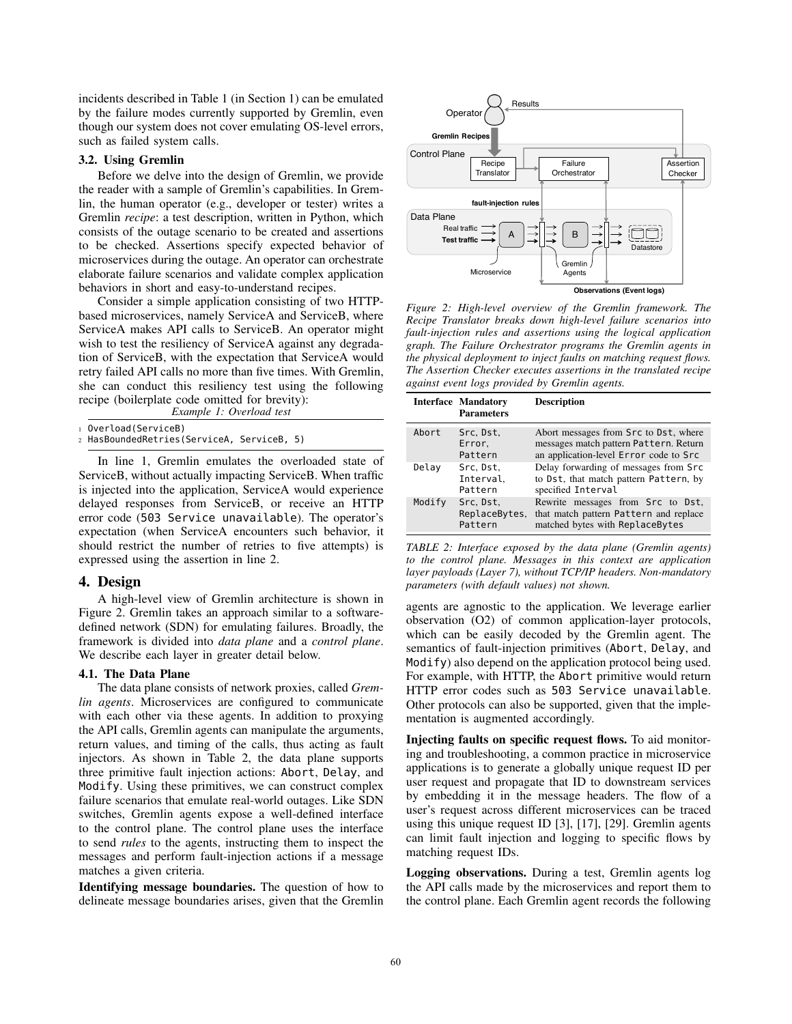incidents described in Table 1 (in Section 1) can be emulated by the failure modes currently supported by Gremlin, even though our system does not cover emulating OS-level errors, such as failed system calls.

### 3.2. Using Gremlin

Before we delve into the design of Gremlin, we provide the reader with a sample of Gremlin's capabilities. In Gremlin, the human operator (e.g., developer or tester) writes a Gremlin *recipe*: a test description, written in Python, which consists of the outage scenario to be created and assertions to be checked. Assertions specify expected behavior of microservices during the outage. An operator can orchestrate elaborate failure scenarios and validate complex application behaviors in short and easy-to-understand recipes.

Consider a simple application consisting of two HTTPbased microservices, namely ServiceA and ServiceB, where ServiceA makes API calls to ServiceB. An operator might wish to test the resiliency of ServiceA against any degradation of ServiceB, with the expectation that ServiceA would retry failed API calls no more than five times. With Gremlin, she can conduct this resiliency test using the following recipe (boilerplate code omitted for brevity):

*Example 1: Overload test*

<sup>1</sup> Overload(ServiceB)

<sup>2</sup> HasBoundedRetries(ServiceA, ServiceB, 5)

In line 1, Gremlin emulates the overloaded state of ServiceB, without actually impacting ServiceB. When traffic is injected into the application, ServiceA would experience delayed responses from ServiceB, or receive an HTTP error code (503 Service unavailable). The operator's expectation (when ServiceA encounters such behavior, it should restrict the number of retries to five attempts) is expressed using the assertion in line 2.

### 4. Design

A high-level view of Gremlin architecture is shown in Figure 2. Gremlin takes an approach similar to a softwaredefined network (SDN) for emulating failures. Broadly, the framework is divided into *data plane* and a *control plane*. We describe each layer in greater detail below.

### 4.1. The Data Plane

The data plane consists of network proxies, called *Gremlin agents*. Microservices are configured to communicate with each other via these agents. In addition to proxying the API calls, Gremlin agents can manipulate the arguments, return values, and timing of the calls, thus acting as fault injectors. As shown in Table 2, the data plane supports three primitive fault injection actions: Abort, Delay, and Modify. Using these primitives, we can construct complex failure scenarios that emulate real-world outages. Like SDN switches, Gremlin agents expose a well-defined interface to the control plane. The control plane uses the interface to send *rules* to the agents, instructing them to inspect the messages and perform fault-injection actions if a message matches a given criteria.

Identifying message boundaries. The question of how to delineate message boundaries arises, given that the Gremlin



*Figure 2: High-level overview of the Gremlin framework. The Recipe Translator breaks down high-level failure scenarios into fault-injection rules and assertions using the logical application graph. The Failure Orchestrator programs the Gremlin agents in the physical deployment to inject faults on matching request flows. The Assertion Checker executes assertions in the translated recipe against event logs provided by Gremlin agents.*

|        | <b>Interface Mandatory</b><br><b>Parameters</b> | <b>Description</b>                                                                                                        |
|--------|-------------------------------------------------|---------------------------------------------------------------------------------------------------------------------------|
| Abort  | Src. Dst.<br>Error,<br>Pattern                  | Abort messages from Src to Dst, where<br>messages match pattern Pattern. Return<br>an application-level Error code to Src |
| Delay  | Src. Dst.<br>Interval,<br>Pattern               | Delay forwarding of messages from Src<br>to Dst, that match pattern Pattern, by<br>specified Interval                     |
| Modify | Src. Dst.<br>ReplaceBytes,<br>Pattern           | Rewrite messages from Src to Dst,<br>that match pattern Pattern and replace<br>matched bytes with ReplaceBytes            |

*TABLE 2: Interface exposed by the data plane (Gremlin agents) to the control plane. Messages in this context are application layer payloads (Layer 7), without TCP/IP headers. Non-mandatory parameters (with default values) not shown.*

agents are agnostic to the application. We leverage earlier observation (O2) of common application-layer protocols, which can be easily decoded by the Gremlin agent. The semantics of fault-injection primitives (Abort, Delay, and Modify) also depend on the application protocol being used. For example, with HTTP, the Abort primitive would return HTTP error codes such as 503 Service unavailable. Other protocols can also be supported, given that the implementation is augmented accordingly.

Injecting faults on specific request flows. To aid monitoring and troubleshooting, a common practice in microservice applications is to generate a globally unique request ID per user request and propagate that ID to downstream services by embedding it in the message headers. The flow of a user's request across different microservices can be traced using this unique request ID [3], [17], [29]. Gremlin agents can limit fault injection and logging to specific flows by matching request IDs.

Logging observations. During a test, Gremlin agents log the API calls made by the microservices and report them to the control plane. Each Gremlin agent records the following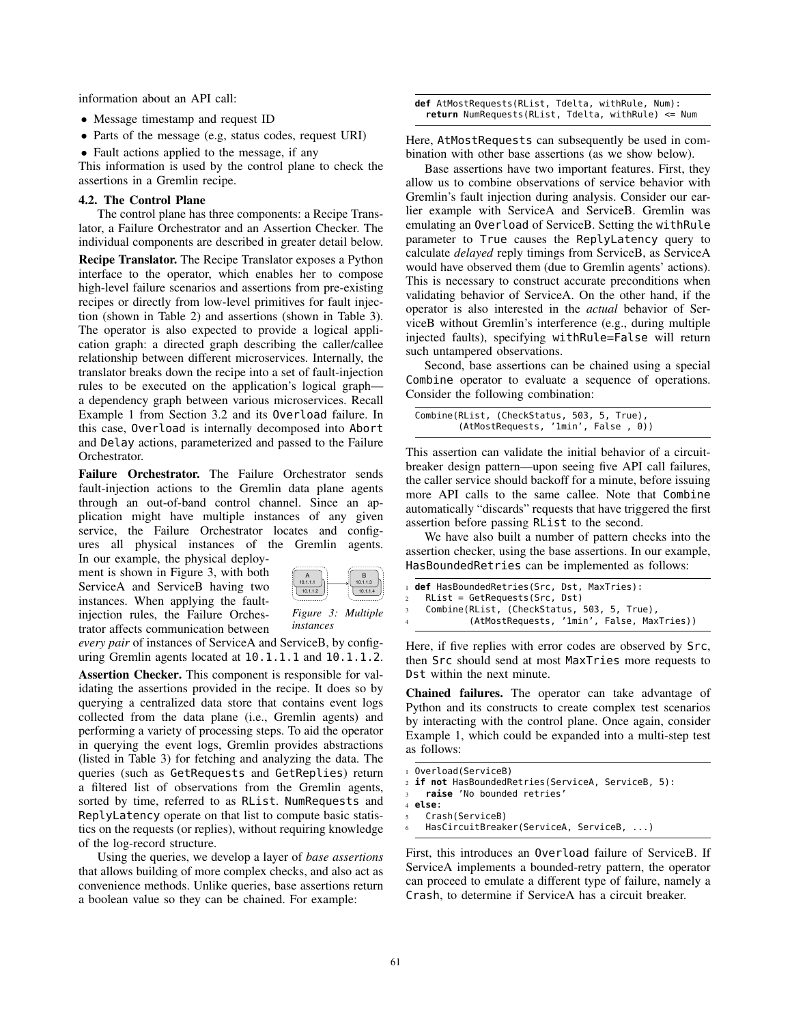information about an API call:

- Message timestamp and request ID
- Parts of the message (e.g, status codes, request URI)
- Fault actions applied to the message, if any

This information is used by the control plane to check the assertions in a Gremlin recipe.

#### 4.2. The Control Plane

The control plane has three components: a Recipe Translator, a Failure Orchestrator and an Assertion Checker. The individual components are described in greater detail below.

Recipe Translator. The Recipe Translator exposes a Python interface to the operator, which enables her to compose high-level failure scenarios and assertions from pre-existing recipes or directly from low-level primitives for fault injection (shown in Table 2) and assertions (shown in Table 3). The operator is also expected to provide a logical application graph: a directed graph describing the caller/callee relationship between different microservices. Internally, the translator breaks down the recipe into a set of fault-injection rules to be executed on the application's logical graph a dependency graph between various microservices. Recall Example 1 from Section 3.2 and its Overload failure. In this case, Overload is internally decomposed into Abort and Delay actions, parameterized and passed to the Failure Orchestrator.

Failure Orchestrator. The Failure Orchestrator sends fault-injection actions to the Gremlin data plane agents through an out-of-band control channel. Since an application might have multiple instances of any given service, the Failure Orchestrator locates and configures all physical instances of the Gremlin agents. In our example, the physical deploy-

ment is shown in Figure 3, with both ServiceA and ServiceB having two instances. When applying the faultinjection rules, the Failure Orchestrator affects communication between



*Figure 3: Multiple instances*

*every pair* of instances of ServiceA and ServiceB, by configuring Gremlin agents located at 10.1.1.1 and 10.1.1.2.

Assertion Checker. This component is responsible for validating the assertions provided in the recipe. It does so by querying a centralized data store that contains event logs collected from the data plane (i.e., Gremlin agents) and performing a variety of processing steps. To aid the operator in querying the event logs, Gremlin provides abstractions (listed in Table 3) for fetching and analyzing the data. The queries (such as GetRequests and GetReplies) return a filtered list of observations from the Gremlin agents, sorted by time, referred to as RList. NumRequests and ReplyLatency operate on that list to compute basic statistics on the requests (or replies), without requiring knowledge of the log-record structure.

Using the queries, we develop a layer of *base assertions* that allows building of more complex checks, and also act as convenience methods. Unlike queries, base assertions return a boolean value so they can be chained. For example:

**def** AtMostRequests(RList, Tdelta, withRule, Num): **return** NumRequests(RList, Tdelta, withRule) <= Num

Here, AtMostRequests can subsequently be used in combination with other base assertions (as we show below).

Base assertions have two important features. First, they allow us to combine observations of service behavior with Gremlin's fault injection during analysis. Consider our earlier example with ServiceA and ServiceB. Gremlin was emulating an Overload of ServiceB. Setting the withRule parameter to True causes the ReplyLatency query to calculate *delayed* reply timings from ServiceB, as ServiceA would have observed them (due to Gremlin agents' actions). This is necessary to construct accurate preconditions when validating behavior of ServiceA. On the other hand, if the operator is also interested in the *actual* behavior of ServiceB without Gremlin's interference (e.g., during multiple injected faults), specifying withRule=False will return such untampered observations.

Second, base assertions can be chained using a special Combine operator to evaluate a sequence of operations. Consider the following combination:

| Combine(RList, (CheckStatus, 503, 5, True), |                                     |  |  |
|---------------------------------------------|-------------------------------------|--|--|
|                                             | (AtMostRequests, '1min', False, 0)) |  |  |

This assertion can validate the initial behavior of a circuitbreaker design pattern—upon seeing five API call failures, the caller service should backoff for a minute, before issuing more API calls to the same callee. Note that Combine automatically "discards" requests that have triggered the first assertion before passing RList to the second.

We have also built a number of pattern checks into the assertion checker, using the base assertions. In our example, HasBoundedRetries can be implemented as follows:

```
1 def HasBoundedRetries(Src, Dst, MaxTries):
2 RList = GetRequests(Src, Dst)
   Combine(RList, (CheckStatus, 503, 5, True),
            4 (AtMostRequests, '1min', False, MaxTries))
```
Here, if five replies with error codes are observed by Src, then Src should send at most MaxTries more requests to Dst within the next minute.

Chained failures. The operator can take advantage of Python and its constructs to create complex test scenarios by interacting with the control plane. Once again, consider Example 1, which could be expanded into a multi-step test as follows:

```
1 Overload(ServiceB)
2 if not HasBoundedRetries(ServiceA, ServiceB, 5):
    raise 'No bounded retries'
4 else:
5 Crash(ServiceB)
   HasCircuitBreaker(ServiceA, ServiceB, ...)
```
First, this introduces an Overload failure of ServiceB. If ServiceA implements a bounded-retry pattern, the operator can proceed to emulate a different type of failure, namely a Crash, to determine if ServiceA has a circuit breaker.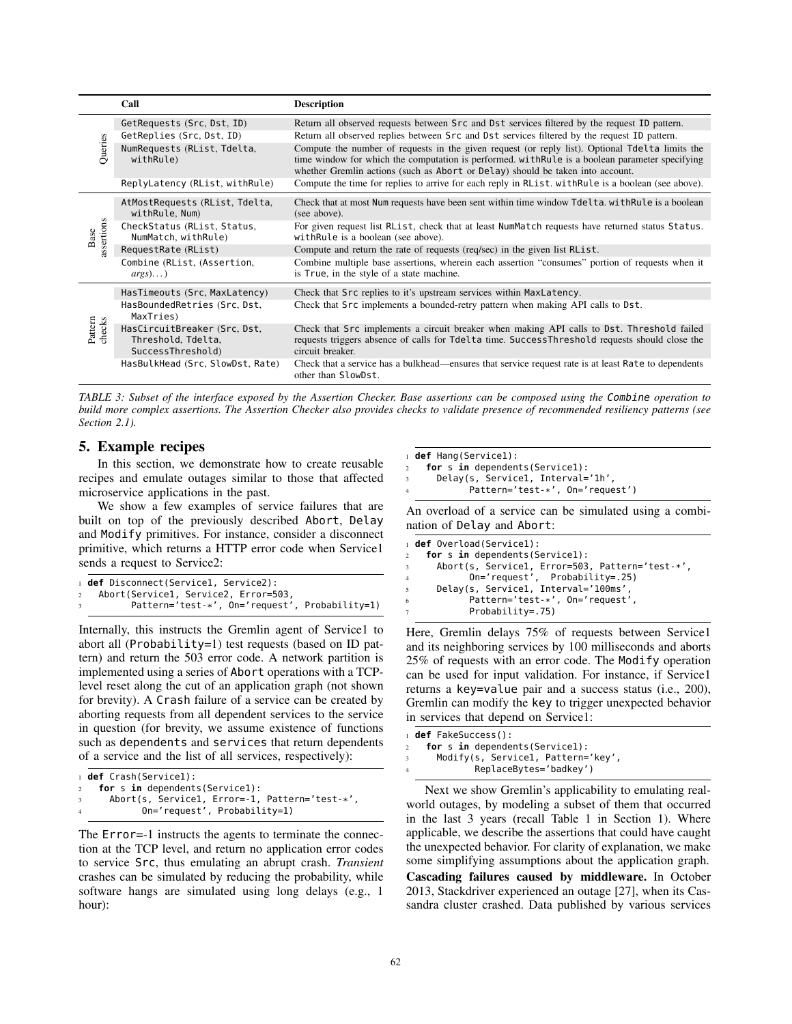|                    | Call                                                                    | <b>Description</b>                                                                                                                                                                                                                                                                   |
|--------------------|-------------------------------------------------------------------------|--------------------------------------------------------------------------------------------------------------------------------------------------------------------------------------------------------------------------------------------------------------------------------------|
|                    | GetRequests (Src, Dst, ID)                                              | Return all observed requests between Src and Dst services filtered by the request ID pattern.                                                                                                                                                                                        |
| Queries            | GetReplies (Src. Dst. ID)                                               | Return all observed replies between Src and Dst services filtered by the request ID pattern.                                                                                                                                                                                         |
|                    | NumRequests (RList, Tdelta,<br>withRule)                                | Compute the number of requests in the given request (or reply list). Optional Tdelta limits the<br>time window for which the computation is performed. with Rule is a boolean parameter specifying<br>whether Gremlin actions (such as Abort or Delay) should be taken into account. |
|                    | ReplyLatency (RList, withRule)                                          | Compute the time for replies to arrive for each reply in RList. with Rule is a boolean (see above).                                                                                                                                                                                  |
| assertions<br>Base | AtMostRequests (RList, Tdelta,<br>withRule, Num)                        | Check that at most Num requests have been sent within time window Tdelta. with Rule is a boolean<br>(see above).                                                                                                                                                                     |
|                    | CheckStatus (RList, Status,<br>NumMatch, withRule)                      | For given request list RList, check that at least NumMatch requests have returned status Status.<br>with Rule is a boolean (see above).                                                                                                                                              |
|                    | RequestRate (RList)                                                     | Compute and return the rate of requests (req/sec) in the given list RList.                                                                                                                                                                                                           |
|                    | Combine (RList, (Assertion,<br>$args) \dots$ )                          | Combine multiple base assertions, wherein each assertion "consumes" portion of requests when it<br>is True, in the style of a state machine.                                                                                                                                         |
| checks<br>Pattern  | HasTimeouts (Src, MaxLatency)                                           | Check that Src replies to it's upstream services within MaxLatency.                                                                                                                                                                                                                  |
|                    | HasBoundedRetries (Src, Dst,<br>MaxTries)                               | Check that Src implements a bounded-retry pattern when making API calls to Dst.                                                                                                                                                                                                      |
|                    | HasCircuitBreaker (Src. Dst.<br>Threshold, Tdelta,<br>SuccessThreshold) | Check that Src implements a circuit breaker when making API calls to Dst. Threshold failed<br>requests triggers absence of calls for Tdelta time. SuccessThreshold requests should close the<br>circuit breaker.                                                                     |
|                    | HasBulkHead (Src. SlowDst, Rate)                                        | Check that a service has a bulkhead—ensures that service request rate is at least Rate to dependents<br>other than SlowDst.                                                                                                                                                          |

*TABLE 3: Subset of the interface exposed by the Assertion Checker. Base assertions can be composed using the* Combine *operation to build more complex assertions. The Assertion Checker also provides checks to validate presence of recommended resiliency patterns (see Section 2.1).*

# 5. Example recipes

In this section, we demonstrate how to create reusable recipes and emulate outages similar to those that affected microservice applications in the past.

We show a few examples of service failures that are built on top of the previously described Abort, Delay and Modify primitives. For instance, consider a disconnect primitive, which returns a HTTP error code when Service1 sends a request to Service2:

```
1 def Disconnect(Service1, Service2):
 Abort(Service1, Service2, Error=503
        Pattern='test-*', On='request', Probability=1)
```
Internally, this instructs the Gremlin agent of Service1 to abort all (Probability=1) test requests (based on ID pattern) and return the 503 error code. A network partition is implemented using a series of Abort operations with a TCPlevel reset along the cut of an application graph (not shown for brevity). A Crash failure of a service can be created by aborting requests from all dependent services to the service in question (for brevity, we assume existence of functions such as dependents and services that return dependents of a service and the list of all services, respectively):

```
1 def Crash(Service1):
    for s in dependents(Service1):
3 Abort(s, Service1, Error=-1, Pattern='test-*',
4 On='request', Probability=1)
```
The Error=-1 instructs the agents to terminate the connection at the TCP level, and return no application error codes to service Src, thus emulating an abrupt crash. *Transient* crashes can be simulated by reducing the probability, while software hangs are simulated using long delays (e.g., 1 hour):

|              | $_1$ def Hang(Servicel):                    |
|--------------|---------------------------------------------|
|              | for s in dependents (Service1):             |
| $\mathbf{3}$ | Delay(s, Service1, Interval='1h',           |
|              | Pattern= $'$ test- $*'$ , On= $'$ request') |
|              |                                             |

An overload of a service can be simulated using a combination of Delay and Abort:

|                         | 1 <b>def</b> Overload(Service1):                |
|-------------------------|-------------------------------------------------|
|                         | for s in dependents (Service1):<br>$\mathbf{2}$ |
| $\overline{\mathbf{3}}$ | Abort(s, Service1, Error=503, Pattern='test-*', |
| 4                       | On='request', Probability=.25)                  |
| 5                       | Delay(s, Service1, Interval='100ms',            |
| 6                       | Pattern='test-*', On='request',                 |
|                         | $Probability=.75)$                              |
|                         |                                                 |

Here, Gremlin delays 75% of requests between Service1 and its neighboring services by 100 milliseconds and aborts 25% of requests with an error code. The Modify operation can be used for input validation. For instance, if Service1 returns a key=value pair and a success status (i.e., 200), Gremlin can modify the key to trigger unexpected behavior in services that depend on Service1:

```
1 def FakeSuccess():
2 for s in dependents(Service1):
3 Modify(s, Service1, Pattern='key',
            ReplaceBytes='badkey')
```
Next we show Gremlin's applicability to emulating realworld outages, by modeling a subset of them that occurred in the last 3 years (recall Table 1 in Section 1). Where applicable, we describe the assertions that could have caught the unexpected behavior. For clarity of explanation, we make some simplifying assumptions about the application graph. Cascading failures caused by middleware. In October 2013, Stackdriver experienced an outage [27], when its Cas-

sandra cluster crashed. Data published by various services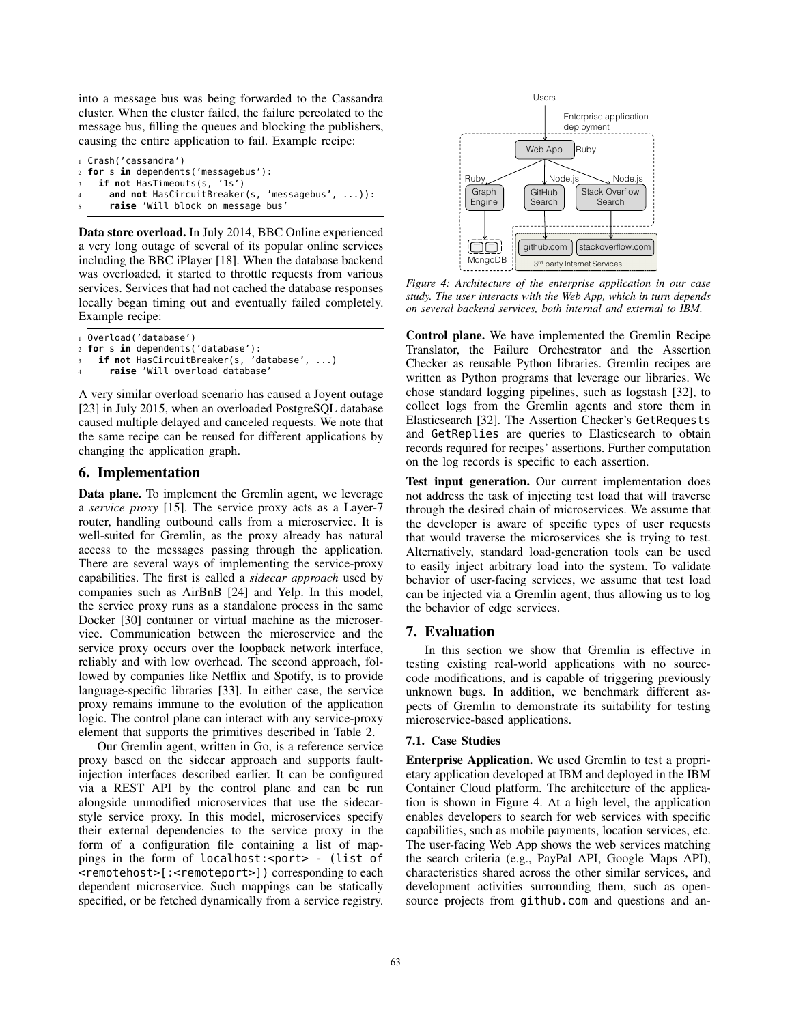into a message bus was being forwarded to the Cassandra cluster. When the cluster failed, the failure percolated to the message bus, filling the queues and blocking the publishers, causing the entire application to fail. Example recipe:

```
1 Crash('cassandra')
2 for s in dependents('messagebus'):
   if not HasTimeouts(s, '1s')
     and not HasCircuitBreaker(s, 'messagebus', ...)):
      5 raise 'Will block on message bus'
```
Data store overload. In July 2014, BBC Online experienced a very long outage of several of its popular online services including the BBC iPlayer [18]. When the database backend was overloaded, it started to throttle requests from various services. Services that had not cached the database responses locally began timing out and eventually failed completely. Example recipe:

 Overload('database') **for** s **in** dependents('database'): if not HasCircuitBreaker(s, 'database', ...) **raise** 'Will overload database'

A very similar overload scenario has caused a Joyent outage [23] in July 2015, when an overloaded PostgreSQL database caused multiple delayed and canceled requests. We note that the same recipe can be reused for different applications by changing the application graph.

# 6. Implementation

Data plane. To implement the Gremlin agent, we leverage a *service proxy* [15]. The service proxy acts as a Layer-7 router, handling outbound calls from a microservice. It is well-suited for Gremlin, as the proxy already has natural access to the messages passing through the application. There are several ways of implementing the service-proxy capabilities. The first is called a *sidecar approach* used by companies such as AirBnB [24] and Yelp. In this model, the service proxy runs as a standalone process in the same Docker [30] container or virtual machine as the microservice. Communication between the microservice and the service proxy occurs over the loopback network interface, reliably and with low overhead. The second approach, followed by companies like Netflix and Spotify, is to provide language-specific libraries [33]. In either case, the service proxy remains immune to the evolution of the application logic. The control plane can interact with any service-proxy element that supports the primitives described in Table 2.

Our Gremlin agent, written in Go, is a reference service proxy based on the sidecar approach and supports faultinjection interfaces described earlier. It can be configured via a REST API by the control plane and can be run alongside unmodified microservices that use the sidecarstyle service proxy. In this model, microservices specify their external dependencies to the service proxy in the form of a configuration file containing a list of mappings in the form of localhost:<port> - (list of <remotehost>[:<remoteport>]) corresponding to each dependent microservice. Such mappings can be statically specified, or be fetched dynamically from a service registry.



*Figure 4: Architecture of the enterprise application in our case study. The user interacts with the Web App, which in turn depends on several backend services, both internal and external to IBM.*

Control plane. We have implemented the Gremlin Recipe Translator, the Failure Orchestrator and the Assertion Checker as reusable Python libraries. Gremlin recipes are written as Python programs that leverage our libraries. We chose standard logging pipelines, such as logstash [32], to collect logs from the Gremlin agents and store them in Elasticsearch [32]. The Assertion Checker's GetRequests and GetReplies are queries to Elasticsearch to obtain records required for recipes' assertions. Further computation on the log records is specific to each assertion.

Test input generation. Our current implementation does not address the task of injecting test load that will traverse through the desired chain of microservices. We assume that the developer is aware of specific types of user requests that would traverse the microservices she is trying to test. Alternatively, standard load-generation tools can be used to easily inject arbitrary load into the system. To validate behavior of user-facing services, we assume that test load can be injected via a Gremlin agent, thus allowing us to log the behavior of edge services.

# 7. Evaluation

In this section we show that Gremlin is effective in testing existing real-world applications with no sourcecode modifications, and is capable of triggering previously unknown bugs. In addition, we benchmark different aspects of Gremlin to demonstrate its suitability for testing microservice-based applications.

## 7.1. Case Studies

Enterprise Application. We used Gremlin to test a proprietary application developed at IBM and deployed in the IBM Container Cloud platform. The architecture of the application is shown in Figure 4. At a high level, the application enables developers to search for web services with specific capabilities, such as mobile payments, location services, etc. The user-facing Web App shows the web services matching the search criteria (e.g., PayPal API, Google Maps API), characteristics shared across the other similar services, and development activities surrounding them, such as opensource projects from github.com and questions and an-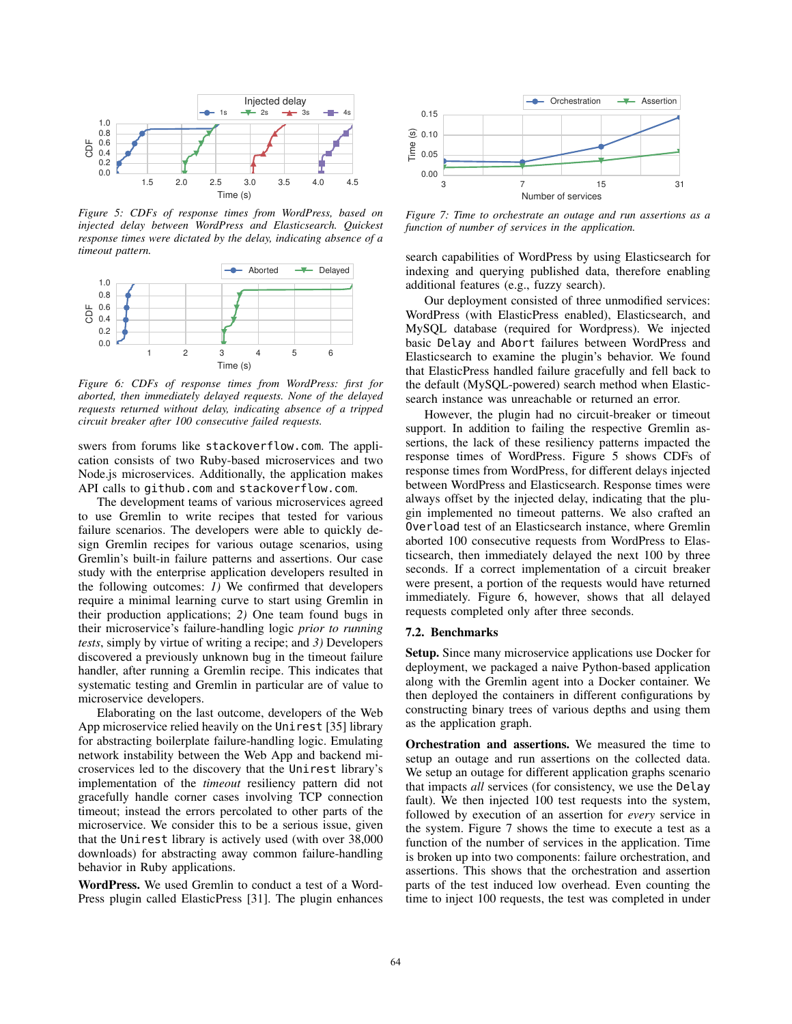

*Figure 5: CDFs of response times from WordPress, based on injected delay between WordPress and Elasticsearch. Quickest response times were dictated by the delay, indicating absence of a timeout pattern.*



*Figure 6: CDFs of response times from WordPress: first for aborted, then immediately delayed requests. None of the delayed requests returned without delay, indicating absence of a tripped circuit breaker after 100 consecutive failed requests.*

swers from forums like stackoverflow.com. The application consists of two Ruby-based microservices and two Node.js microservices. Additionally, the application makes API calls to github.com and stackoverflow.com.

The development teams of various microservices agreed to use Gremlin to write recipes that tested for various failure scenarios. The developers were able to quickly design Gremlin recipes for various outage scenarios, using Gremlin's built-in failure patterns and assertions. Our case study with the enterprise application developers resulted in the following outcomes: *1)* We confirmed that developers require a minimal learning curve to start using Gremlin in their production applications; *2)* One team found bugs in their microservice's failure-handling logic *prior to running tests*, simply by virtue of writing a recipe; and *3)* Developers discovered a previously unknown bug in the timeout failure handler, after running a Gremlin recipe. This indicates that systematic testing and Gremlin in particular are of value to microservice developers.

Elaborating on the last outcome, developers of the Web App microservice relied heavily on the Unirest [35] library for abstracting boilerplate failure-handling logic. Emulating network instability between the Web App and backend microservices led to the discovery that the Unirest library's implementation of the *timeout* resiliency pattern did not gracefully handle corner cases involving TCP connection timeout; instead the errors percolated to other parts of the microservice. We consider this to be a serious issue, given that the Unirest library is actively used (with over 38,000 downloads) for abstracting away common failure-handling behavior in Ruby applications.

WordPress. We used Gremlin to conduct a test of a Word-Press plugin called ElasticPress [31]. The plugin enhances



*Figure 7: Time to orchestrate an outage and run assertions as a function of number of services in the application.*

search capabilities of WordPress by using Elasticsearch for indexing and querying published data, therefore enabling additional features (e.g., fuzzy search).

Our deployment consisted of three unmodified services: WordPress (with ElasticPress enabled), Elasticsearch, and MySQL database (required for Wordpress). We injected basic Delay and Abort failures between WordPress and Elasticsearch to examine the plugin's behavior. We found that ElasticPress handled failure gracefully and fell back to the default (MySQL-powered) search method when Elasticsearch instance was unreachable or returned an error.

However, the plugin had no circuit-breaker or timeout support. In addition to failing the respective Gremlin assertions, the lack of these resiliency patterns impacted the response times of WordPress. Figure 5 shows CDFs of response times from WordPress, for different delays injected between WordPress and Elasticsearch. Response times were always offset by the injected delay, indicating that the plugin implemented no timeout patterns. We also crafted an Overload test of an Elasticsearch instance, where Gremlin aborted 100 consecutive requests from WordPress to Elasticsearch, then immediately delayed the next 100 by three seconds. If a correct implementation of a circuit breaker were present, a portion of the requests would have returned immediately. Figure 6, however, shows that all delayed requests completed only after three seconds.

### 7.2. Benchmarks

Setup. Since many microservice applications use Docker for deployment, we packaged a naive Python-based application along with the Gremlin agent into a Docker container. We then deployed the containers in different configurations by constructing binary trees of various depths and using them as the application graph.

Orchestration and assertions. We measured the time to setup an outage and run assertions on the collected data. We setup an outage for different application graphs scenario that impacts *all* services (for consistency, we use the Delay fault). We then injected 100 test requests into the system, followed by execution of an assertion for *every* service in the system. Figure 7 shows the time to execute a test as a function of the number of services in the application. Time is broken up into two components: failure orchestration, and assertions. This shows that the orchestration and assertion parts of the test induced low overhead. Even counting the time to inject 100 requests, the test was completed in under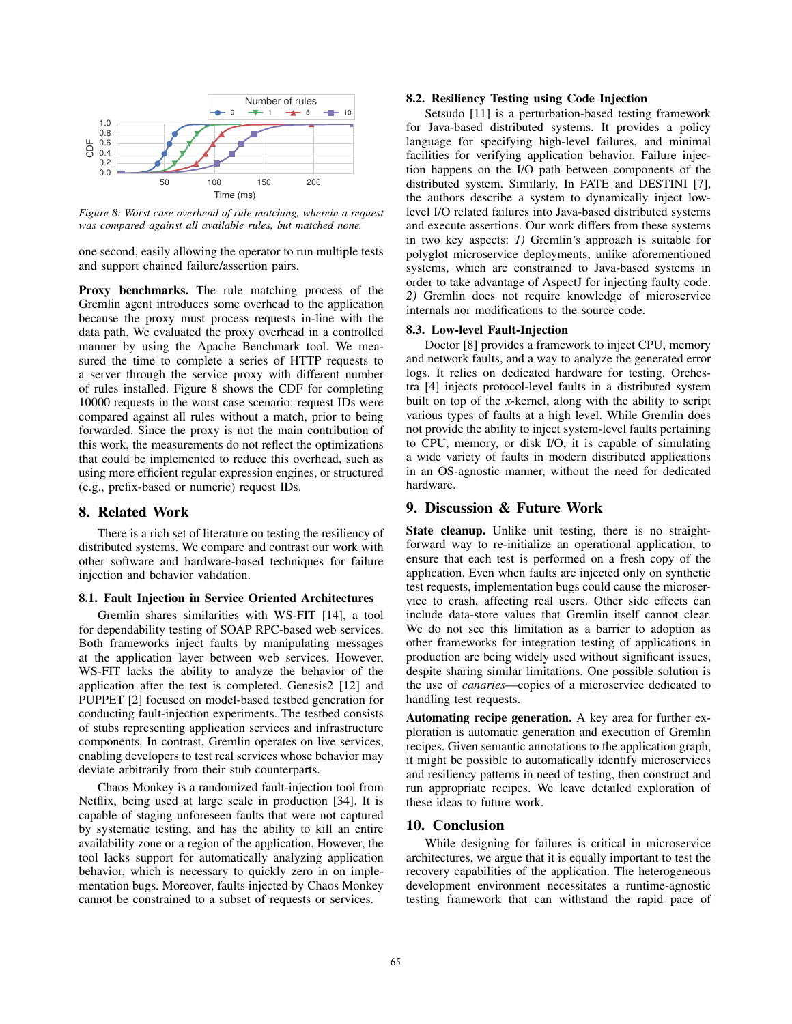

*Figure 8: Worst case overhead of rule matching, wherein a request was compared against all available rules, but matched none.*

one second, easily allowing the operator to run multiple tests and support chained failure/assertion pairs.

Proxy benchmarks. The rule matching process of the Gremlin agent introduces some overhead to the application because the proxy must process requests in-line with the data path. We evaluated the proxy overhead in a controlled manner by using the Apache Benchmark tool. We measured the time to complete a series of HTTP requests to a server through the service proxy with different number of rules installed. Figure 8 shows the CDF for completing 10000 requests in the worst case scenario: request IDs were compared against all rules without a match, prior to being forwarded. Since the proxy is not the main contribution of this work, the measurements do not reflect the optimizations that could be implemented to reduce this overhead, such as using more efficient regular expression engines, or structured (e.g., prefix-based or numeric) request IDs.

## 8. Related Work

There is a rich set of literature on testing the resiliency of distributed systems. We compare and contrast our work with other software and hardware-based techniques for failure injection and behavior validation.

### 8.1. Fault Injection in Service Oriented Architectures

Gremlin shares similarities with WS-FIT [14], a tool for dependability testing of SOAP RPC-based web services. Both frameworks inject faults by manipulating messages at the application layer between web services. However, WS-FIT lacks the ability to analyze the behavior of the application after the test is completed. Genesis2 [12] and PUPPET [2] focused on model-based testbed generation for conducting fault-injection experiments. The testbed consists of stubs representing application services and infrastructure components. In contrast, Gremlin operates on live services, enabling developers to test real services whose behavior may deviate arbitrarily from their stub counterparts.

Chaos Monkey is a randomized fault-injection tool from Netflix, being used at large scale in production [34]. It is capable of staging unforeseen faults that were not captured by systematic testing, and has the ability to kill an entire availability zone or a region of the application. However, the tool lacks support for automatically analyzing application behavior, which is necessary to quickly zero in on implementation bugs. Moreover, faults injected by Chaos Monkey cannot be constrained to a subset of requests or services.

### 8.2. Resiliency Testing using Code Injection

Setsudo [11] is a perturbation-based testing framework for Java-based distributed systems. It provides a policy language for specifying high-level failures, and minimal facilities for verifying application behavior. Failure injection happens on the I/O path between components of the distributed system. Similarly, In FATE and DESTINI [7], the authors describe a system to dynamically inject lowlevel I/O related failures into Java-based distributed systems and execute assertions. Our work differs from these systems in two key aspects: *1)* Gremlin's approach is suitable for polyglot microservice deployments, unlike aforementioned systems, which are constrained to Java-based systems in order to take advantage of AspectJ for injecting faulty code. *2)* Gremlin does not require knowledge of microservice internals nor modifications to the source code.

### 8.3. Low-level Fault-Injection

Doctor [8] provides a framework to inject CPU, memory and network faults, and a way to analyze the generated error logs. It relies on dedicated hardware for testing. Orchestra [4] injects protocol-level faults in a distributed system built on top of the *x*-kernel, along with the ability to script various types of faults at a high level. While Gremlin does not provide the ability to inject system-level faults pertaining to CPU, memory, or disk I/O, it is capable of simulating a wide variety of faults in modern distributed applications in an OS-agnostic manner, without the need for dedicated hardware.

## 9. Discussion & Future Work

State cleanup. Unlike unit testing, there is no straightforward way to re-initialize an operational application, to ensure that each test is performed on a fresh copy of the application. Even when faults are injected only on synthetic test requests, implementation bugs could cause the microservice to crash, affecting real users. Other side effects can include data-store values that Gremlin itself cannot clear. We do not see this limitation as a barrier to adoption as other frameworks for integration testing of applications in production are being widely used without significant issues, despite sharing similar limitations. One possible solution is the use of *canaries*—copies of a microservice dedicated to handling test requests.

Automating recipe generation. A key area for further exploration is automatic generation and execution of Gremlin recipes. Given semantic annotations to the application graph, it might be possible to automatically identify microservices and resiliency patterns in need of testing, then construct and run appropriate recipes. We leave detailed exploration of these ideas to future work.

# 10. Conclusion

While designing for failures is critical in microservice architectures, we argue that it is equally important to test the recovery capabilities of the application. The heterogeneous development environment necessitates a runtime-agnostic testing framework that can withstand the rapid pace of